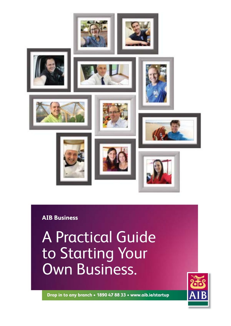

### **AIB Business**

A Practical Guide to Starting Your Own Business.



**Drop in to any branch • 1890 47 88 33 • www.aib.ie/startup**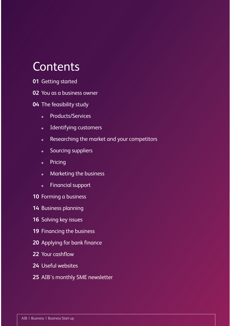### **Contents**

- **01** Getting started
- **02** You as a business owner
- **04** The feasibility study
	- Products/Services  $\mathbf{a}$
	- Identifying customers  $\ddot{\mathbf{c}}$
	- Researching the market and your competitors  $\bullet$
	- Sourcing suppliers  $\bullet$
	- Pricing  $\ddot{\mathbf{c}}$
	- Marketing the business  $\bullet$
	- Financial support
- **10** Forming a business
- **14** Business planning
- **16** Solving key issues
- **19** Financing the business
- **20** Applying for bank finance
- **22** Your cashflow
- **24** Useful websites
- **25** AIB's monthly SME newsletter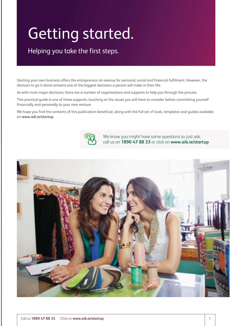## Getting started.

### Helping you take the first steps.

Starting your own business offers the entrepreneur an avenue for personal, social and financial fulfilment. However, the decision to go it alone remains one of the biggest decisions a person will make in their life.

As with most major decisions, there are a number of organisations and supports to help you through the process.

This practical guide is one of these supports, touching on the issues you will have to consider before committing yourself financially and personally to your new venture.

We hope you find the contents of this publication beneficial, along with the full set of tools, templates and guides available on **www.aib.ie/startup**



We know you might have some questions so just ask, call us on **1890 47 88 33** or click on **www.aib.ie/startup**

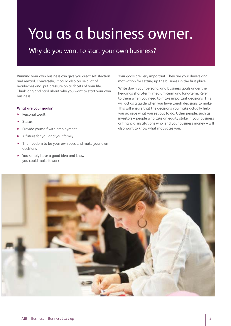### You as a business owner.

### Why do you want to start your own business?

Running your own business can give you great satisfaction and reward. Conversely, it could also cause a lot of headaches and put pressure on all facets of your life. Think long and hard about why you want to start your own business.

#### **What are your goals?**

- Personal wealth  $\bullet$
- $\circ$ Status
- Provide yourself with employment  $\bullet$
- A future for you and your family
- The freedom to be your own boss and make your own  $\bullet$ decisions
- You simply have a good idea and know you could make it work

Your goals are very important. They are your drivers and motivation for setting up the business in the first place.

Write down your personal and business goals under the headings short-term, medium-term and long-term. Refer to them when you need to make important decisions. This will act as a guide when you have tough decisions to make. This will ensure that the decisions you make actually help you achieve what you set out to do. Other people, such as investors – people who take an equity stake in your business or financial institutions who lend your business money – will also want to know what motivates you.

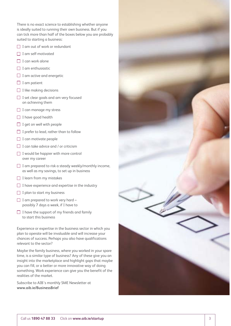There is no exact science to establishing whether anyone is ideally suited to running their own business. But if you can tick more than half of the boxes below you are probably suited to starting a business:

- $\Box$  I am out of work or redundant
- $\Box$  I am self-motivated
- $\Box$  I can work alone
- $\Box$  I am enthusiastic
- $\Box$  I am active and energetic
- $\Box$  I am patient
- $\Box$  I like making decisions
- $\Box$  I set clear goals and am very focused on achieving them
- $\Box$  I can manage my stress
- $\Box$  I have good health
- $\Box$  I get on well with people
- $\Box$  I prefer to lead, rather than to follow
- $\Box$  I can motivate people
- $\Box$  I can take advice and / or criticism
- $\Box$  I would be happier with more control over my career
- $\Box$  I am prepared to risk a steady weekly/monthly income, as well as my savings, to set up in business
- $\Box$  I learn from my mistakes
- $\Box$  I have experience and expertise in the industry
- $\Box$  I plan to start my business
- $\Box$  I am prepared to work very hard possibly 7 days a week, if I have to
- $\Box$  I have the support of my friends and family to start this business

Experience or expertise in the business sector in which you plan to operate will be invaluable and will increase your chances of success. Perhaps you also have qualifications relevant to the sector?

Maybe the family business, where you worked in your spare time, is a similar type of business? Any of these give you an insight into the marketplace and highlight gaps that maybe you can fill, or a better or more innovative way of doing something. Work experience can give you the benefit of the realities of the market.

Subscribe to AIB's monthly SME Newsletter at **www.aib.ie/BusinessBrief**

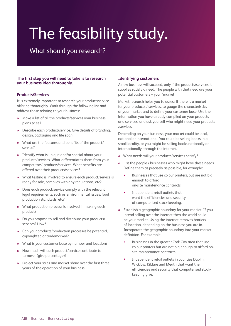# The feasibility study.

What should you research?

#### **The first step you will need to take is to research your business idea thoroughly.**

#### **Products/Services**

It is extremely important to research your product/service offering thoroughly. Work through the following list and address those relating to your business:

- Make a list of all the products/services your business plans to sell
- Describe each product/service. Give details of branding,  $\bullet$ design, packaging and life span
- What are the features and benefits of the product/ service?
- Identify what is unique and/or special about your products/services. What differentiates them from your competitors' products/services. What benefits are offered over their products/services?
- What testing is involved to ensure each product/service is ready for sale, complies with any regulations, etc?
- Does each product/service comply with the relevant legal requirements, such as environmental issues, food production standards, etc?
- o What production process is involved in making each product?
- Do you propose to sell and distribute your products/ services? How?
- Can your products/production processes be patented, copyrighted or trademarked?
- o What is your customer base by number and location?
- How much will each product/service contribute to turnover (give percentage)?
- **o** Project your sales and market share over the first three years of the operation of your business.

#### **Identifying customers**

A new business will succeed, only if the products/services it supplies satisfy a need. The people with that need are your potential customers – your 'market'.

Market research helps you to assess if there is a market for your products / services, to gauge the characteristics of your market and to define your customer base. Use the information you have already compiled on your products and services, and ask yourself who might need your products /services.

Depending on your business, your market could be local, national or international. You could be selling books in a small locality, or you might be selling books nationally or internationally, through the internet.

- What needs will your products/services satisfy?
- **o** List the people / businesses who might have these needs. Define them as precisely as possible, for example:
	- Businesses that use colour printers, but are not big enough to afford on-site maintenance contracts
	- Independent retail outlets that want the efficiencies and security of computerised stock-keeping.
- Establish a geographic boundary for your market. If you intend selling over the internet then the world could be your market. Using the internet removes barriers of location, depending on the business you are in. Incorporate the geographic boundary into your market definition. For example:
	- Businesses in the greater Cork City area that use colour printers but are not big enough to afford onsite maintenance contracts
	- Independent retail outlets in counties Dublin, Wicklow, Kildare and Meath that want the efficiencies and security that computerised stockkeeping give.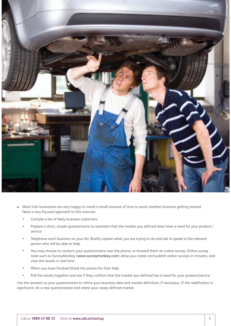

- Most Irish businesses are very happy to invest a small amount of time to assist another business getting started. Have a very focused approach to this exercise:
	- Compile a list of likely business customers
	- Prepare a short, simple questionnaire to ascertain that the market you defined does have a need for your product / service
	- Telephone each business on your list. Briefly explain what you are trying to do and ask to speak to the relevant person who will be able to help
	- You may choose to conduct your questionnaire over the phone, or forward them an online survey. Online survey tools such as SurveyMonkey (**www.surveymonkey.com**) allow you create and publish online surveys in minutes, and view the results in real time
	- When you have finished thank the person for their help
	- Pull the results together and see if they confirm that the market you defined has a need for your product/service.

Use the answers to your questionnaire to refine your business idea and market definition, if necessary. If the redefinition is significant, do a new questionnaire and retest your newly defined market.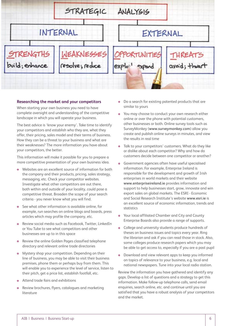

#### **Researching the market and your competitors**

When starting your own business you need to have complete oversight and understanding of the competitive landscape in which you will operate your business.

The best advice is 'know your enemy'. Take time to identify your competitors and establish who they are, what they offer, their pricing, sales model and their terms of business. How they can be a threat to your business and what are their weaknesses? The more information you have about your competitors, the better.

This information will make it possible for you to prepare a more competitive presentation of your own business idea.

- Websites are an excellent source of information for both the company and their products, pricing, sales strategy, messaging, etc. Check your competitor websites. Investigate what other competitors are out there, both within and outside of your locality, could pose a competitive threat. Broaden the scope of your search criteria - you never know what you will find.
- See what other information is available online, for example, run searches on online blogs and boards, press articles which may profile the company, etc.
- Review social media such as Facebook, Twitter, LinkedIn or You Tube to see what competitors and other businesses are up to in this space
- Review the online Golden Pages classified telephone directory and relevant online trade directories
- o Mystery shop your competition. Depending on their line of business, you may be able to visit their business premises, phone them or perhaps buy from them. This will enable you to experience the level of service, listen to their pitch, get a price list, establish footfall, etc.
- Attend trade fairs and exhibitions  $\bullet$
- Review brochures, flyers, catalogues and marketing literature
- Do a search for existing patented products that are similar to yours
- You may choose to conduct your own research either online or over the phone with potential customers, other businesses or both. Online survey tools such as SurveyMonkey (**www.surveymonkey.com**) allow you create and publish online surveys in minutes, and view the results in real time
- Talk to your competitors' customers. What do they like or dislike about each competitor? Why and how do customers decide between one competitor or another?
- Government agencies often have useful specialised information. For example, Enterprise Ireland is responsible for the development and growth of Irish enterprises in world markets and their website **www.enterpriseireland.ie** provides information and support to help businesses start, grow, innovate and win export sales on global markets. The ESRI - Economic and Social Research Institute's website **www.esri.ie** is an excellent source of economic information, trends and statistics
- Your local affiliated Chamber and City and County Enterprise Boards also provide a range of supports.
- College and university students produce hundreds of theses on business issues and topics every year. Ring the librarian and ask if you can read those in stock. Also, some colleges produce research papers which you may be able to get access to, especially if you are a past pupil
- Download and view relevant apps to keep you informed on topics of relevance to your business, e.g. local and national newspapers. Tune into your local radio station.

Review the information you have gathered and identify any gaps. Develop a list of questions and a strategy to get this information. Make follow-up telephone calls, send email enquiries, search online, etc. and continue until you are satisfied that you have a robust analysis of your competitors and the market.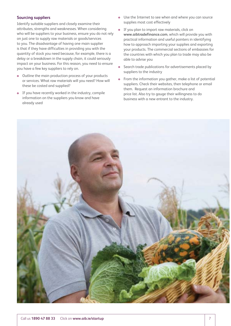#### **Sourcing suppliers**

Identify suitable suppliers and closely examine their attributes, strengths and weaknesses. When considering who will be suppliers to your business, ensure you do not rely on just one to supply raw materials or goods/services to you. The disadvantage of having one main supplier is that if they have difficulties in providing you with the quantity of stock you need because, for example, there is a delay or a breakdown in the supply chain, it could seriously impact on your business. For this reason, you need to ensure you have a few key suppliers to rely on.

- o Outline the main production process of your products or services. What raw materials will you need? How will these be costed and supplied?
- If you have recently worked in the industry, compile information on the suppliers you know and have already used
- Use the Internet to see when and where you can source supplies most cost effectively
- o If you plan to import raw materials, click on **www.aibtradefinance.com**, which will provide you with practical information and useful pointers in identifying how to approach importing your supplies and exporting your products. The commercial sections of embassies for the countries with which you plan to trade may also be able to advise you
- **o** Search trade publications for advertisements placed by suppliers to the industry
- From the information you gather, make a list of potential suppliers. Check their websites, then telephone or email them. Request an information brochure and price list. Also try to gauge their willingness to do business with a new entrant to the industry.

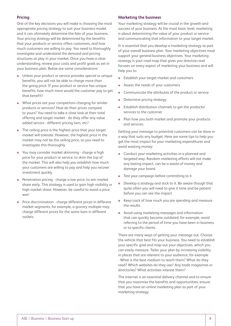#### **Pricing**

One of the key decisions you will make is choosing the most appropriate pricing strategy to suit your business model, and it can ultimately determine the fate of your business. Your pricing strategy will be determined by the benefits that your products or service offers customers, and how much customers are willing to pay. You need to thoroughly investigate and understand the demand and pricing structures at play in your market. Once you have a clear understanding, review your costs and profit goals as set in your business plan. Below are some considerations:

- Unless your product or service provides special or unique benefits, you will not be able to charge more than the going price. If your product or service has unique benefits, how much more would the customer pay to get that benefit?
- What prices are your competitors charging for similar products or services? How do their prices compare to yours? You need to take a close look at their total offering and target market - do they offer any value added service - different pricing tiers, etc?
- The ceiling price is the highest price that your target market will tolerate. However, the highest price in the market may not be the ceiling price, so you need to investigate this thoroughly
- You may consider market skimming charge a high price for your product or service, to skim the top of the market. This will also help you establish how much your customers are willing to pay and help you recover investment quickly
- Penetration pricing charge a low price, to win market  $\bullet$ share early. This strategy is used to gain high visibility or high market share. However, be careful to avoid a price war!
- Price discrimination charge different prices in different market segments, for example, a grocery multiple may charge different prices for the same item in different outlets.

#### **Marketing the business**

Your marketing strategy will be crucial in the growth and success of your business. At the most basic level, marketing is about determining the value of your product or service and communicating that information to your target market.

It is essential that you develop a marketing strategy as part of your overall business plan. Your marketing objectives must support your general business objectives. Your marketing strategy is your road map that gives you direction and focuses on every aspect of marketing your business and will help you to:

- Establish your target market and customers
- $\bullet$ Assess the needs of your customers
- $\circ$ Communicate the attributes of the product or service
- Determine pricing strategy  $\circ$
- Establish distribution channels to get the products/ services to the customer
- **•** Plan how you both market and promote your products and services.

Getting your message to potential customers can be done in a way that suits any budget. Here are some tips to help you get the most impact for your marketing expenditures and avoid wasting money:

- Conduct your marketing activities in a planned and targeted way. Random marketing efforts will not make any lasting impact, can be a waste of money and damage your brand
- Test your campaign before committing to it
- Develop a strategy and stick to it. Be aware though that  $\bullet$ quite often you will need to give it time and be patient before you can see the impact
- Keep track of how much you are spending and measure the results
- Avoid using marketing messages and information that can quickly become outdated, for example, avoid referring to the period of time you have been in business or to specific clients.

There are many ways of getting your message out. Choose the vehicle that best fits your business. You need to establish your specific goal and map out your objectives, which you can easily measure. Tailor your plan by increasing visibility in places that are relevant to your audience, for example - What is the best medium to reach them? What do they read? Which websites do they use? Any trade magazines or directories? What activities interest them?

The internet is an essential delivery channel and to ensure that you maximise the benefits and opportunities, ensure that you have an online marketing plan as part of your marketing strategy.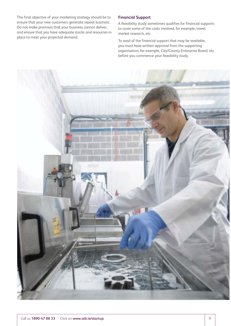The final objective of your marketing strategy should be to ensure that your new customers generate repeat business. Do not make promises that your business cannot deliver, and ensure that you have adequate stocks and resources in place to meet your projected demand.

#### **Financial Support**

A feasibility study sometimes qualifies for financial supports to cover some of the costs involved, for example, travel, market research, etc.

To avail of the financial support that may be available, you must have written approval from the supporting organisation, for example, City/County Enterprise Board, etc, before you commence your feasibility study.

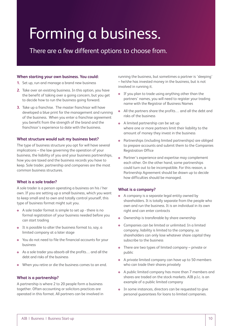### Forming a business.

There are a few different options to choose from.

#### **When starting your own business. You could:**

- **1.** Set up, run and manage a brand new business
- **2.** Take over an existing business. In this option, you have the benefit of taking over a going concern, but you get to decide how to run the business going forward.
- **3.** Take up a franchise. The master franchisor will have developed a blue print for the management and running of the business. When you enter a franchise agreement you benefit from the strength of the brand and the franchisor's experience to date with the business.

#### **What structure would suit my business best?**

The type of business structure you opt for will have several implications – the law governing the operation of your business, the liability of you and your business partnerships, how you are taxed and the business records you have to keep. Sole trader, partnership and companies are the most common business structures.

#### **What is a sole trader?**

A sole trader is a person operating a business on his / her own. If you are setting up a small business, which you want to keep small and to own and totally control yourself, this type of business format might suit you.

- A sole trader format is simple to set up there is no formal registration of your business needed before you can start trading
- It is possible to alter the business format to, say, a limited company at a later stage
- You do not need to file the financial accounts for your business
- As a sole trader you absorb all the profits… and all the debt and risks of the business
- When you retire or die the business comes to an end.

#### **What is a partnership?**

A partnership is where 2 to 20 people form a business together. Often accounting or solicitors practices are operated in this format. All partners can be involved in running the business, but sometimes a partner is 'sleeping' – he/she has invested money in the business, but is not involved in running it.

- **o** If you plan to trade using anything other than the partners' names, you will need to register your trading name with the Registrar of Business Names
- All the partners share the profits… and all the debt and risks of the business
- A limited partnership can be set up where one or more partners limit their liability to the amount of money they invest in the business
- Partnerships (including limited partnerships) are obliged to prepare accounts and submit them to the Companies Registration Office
- Partner's experience and expertise may complement each other. On the other hand, some partnerships could turn out to be incompatible. For this reason, a Partnership Agreement should be drawn up to decide how difficulties should be managed.

#### **What is a company?**

- A company is a separate legal entity owned by shareholders. It is totally separate from the people who own and run the business. It is an individual in its own right and can enter contracts
- Ownership is transferable by share ownership
- Companies can be limited or unlimited. In a limited  $\bullet$ company, liability is limited to the company, so shareholders can only lose whatever share capital they subscribe to the business
- There are two types of limited company private or public
- A private limited company can have up to 50 members who can trade their shares privately
- A public limited company has more than 7 members and shares are traded on the stock markets. AIB p.l.c. is an example of a public limited company
- In some instances, directors can be requested to give personal guarantees for loans to limited companies.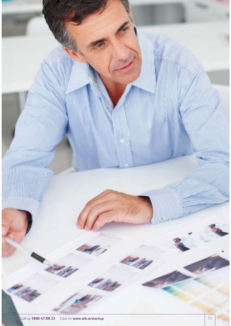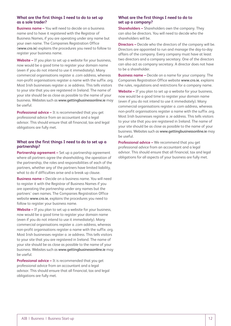#### **What are the first things I need to do to set up as a sole trader?**

**Business name –** You will need to decide on a business name and to have it registered with the Registrar of Business Names, if you are operating under any name but your own name. The Companies Registration Office (**www.cro.ie**) explains the procedures you need to follow to register your business name.

**Website –** If you plan to set up a website for your business, now would be a good time to register your domain name (even if you do not intend to use it immediately). Many commercial organisations register a .com address, whereas non-profit organisations register a name with the suffix .org. Most Irish businesses register a .ie address. This tells visitors to your site that you are registered in Ireland. The name of your site should be as close as possible to the name of your business. Websites such as **www.gettingbusinessonline.ie** may be useful.

**Professional advice –** It is recommended that you get professional advice from an accountant and a legal advisor. This should ensure that all financial, tax and legal obligations are fully met.

#### **What are the first things I need to do to set up a partnership?**

**Partnership agreement –** Set up a partnership agreement where all partners agree the shareholding, the operation of the partnership, the roles and responsibilities of each of the partners, whether any of the partners have limited liability, what to do if difficulties arise and a break up clause.

**Business name –** Decide on a business name. You will need to register it with the Registrar of Business Names if you are operating the partnership under any names but the partners' own names. The Companies Registration Office website **www.cro.ie**, explains the procedures you need to follow to register your business name.

**Website –** If you plan to set up a website for your business, now would be a good time to register your domain name (even if you do not intend to use it immediately). Many commercial organisations register a .com address, whereas non-profit organisations register a name with the suffix .org. Most Irish businesses register a .ie address. This tells visitors to your site that you are registered in Ireland. The name of your site should be as close as possible to the name of your business. Websites such as **www.gettingbusinessonline.ie** may be useful.

**Professional advice –** It is recommended that you get professional advice from an accountant and a legal advisor. This should ensure that all financial, tax and legal obligations are fully met.

#### **What are the first things I need to do to set up a company?**

**Shareholders –** Shareholders own the company. They can also be directors. You will need to decide who the shareholders will be.

**Directors –** Decide who the directors of the company will be. Directors are appointed to run and manage the day-to-day affairs of the company. Every company must have at least two directors and a company secretary. One of the directors can also act as company secretary. A director does not have to be a shareholder.

**Business name –** Decide on a name for your company. The Companies Registration Office website **www.cro.ie**, explains the rules, regulations and restrictions for a company name.

**Website –** If you plan to set up a website for your business, now would be a good time to register your domain name (even if you do not intend to use it immediately). Many commercial organisations register a .com address, whereas non-profit organisations register a name with the suffix .org. Most Irish businesses register a .ie address. This tells visitors to your site that you are registered in Ireland. The name of your site should be as close as possible to the name of your business. Websites such as **www.gettingbusinessonline.ie** may be useful.

**Professional advice –** We recommend that you get professional advice from an accountant and a legal advisor. This should ensure that all financial, tax and legal obligations for all aspects of your business are fully met.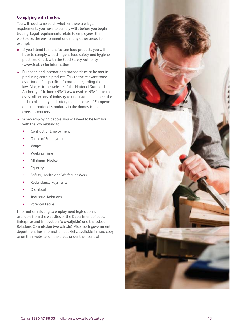#### **Complying with the law**

You will need to research whether there are legal requirements you have to comply with, before you begin trading. Legal requirements relate to employees, the workplace, the environment and many other areas, for example:

- If you intend to manufacture food products you will have to comply with stringent food safety and hygiene practices. Check with the Food Safety Authority (**www.fsai.ie**) for information
- European and international standards must be met in producing certain products. Talk to the relevant trade association for specific information regarding the law. Also, visit the website of the National Standards Authority of Ireland (NSAI) **www.nsai.ie**. NSAI aims to assist all sectors of industry to understand and meet the technical, quality and safety requirements of European and international standards in the domestic and overseas markets
- When employing people, you will need to be familiar with the law relating to:
	- Contract of Employment
	- Terms of Employment
	- **Wages**
	- Working Time
	- Minimum Notice
	- Equality
	- Safety, Health and Welfare at Work
	- Redundancy Payments
	- Dismissal
	- Industrial Relations
	- Parental Leave

Information relating to employment legislation is available from the websites of the Department of Jobs, Enterprise and Innovation (**www.djei.ie**) and the Labour Relations Commission (**www.lrc.ie**). Also, each government department has information booklets, available in hard copy or on their website, on the areas under their control.

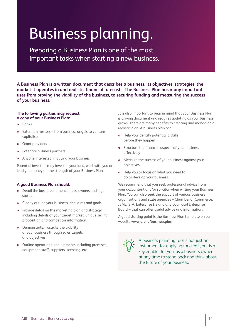### Business planning.

Preparing a Business Plan is one of the most important tasks when starting a new business.

**A Business Plan is a written document that describes a business, its objectives, strategies, the market it operates in and realistic financial forecasts. The Business Plan has many important uses from proving the viability of the business, to securing funding and measuring the success of your business.**

#### **The following parties may request a copy of your Business Plan:**

- **o** Banks
- External investors from business angels to venture capitalists
- Grant providers  $\bullet$
- Potential business partners  $\circ$
- Anyone interested in buying your business.

Potential investors may invest in your idea, work with you or lend you money on the strength of your Business Plan.

#### **A good Business Plan should:**

- Detail the business name, address, owners and legal  $\bullet$ status
- Clearly outline your business idea, aims and goals
- Provide detail on the marketing plan and strategy, including details of your target market, unique selling proposition and competitor information
- Demonstrate/illustrate the viability of your business through sales targets and objectives
- Outline operational requirements including premises, equipment, staff, suppliers, licensing, etc.

It is also important to bear in mind that your Business Plan is a living document and requires updating as your business grows. There are many benefits to creating and managing a realistic plan. A business plan can:

- **•** Help you identify potential pitfalls before they happen
- o Structure the financial aspects of your business effectively
- Measure the success of your business against your objectives
- Help you to focus on what you need to do to develop your business.

We recommend that you seek professional advice from your accountant and/or solicitor when writing your Business Plan. You can also seek the support of various business organisations and state agencies – Chamber of Commerce, ISME, SFA, Enterprise Ireland and your local Enterprise Board – that can offer useful advice and information.

A good starting point is the Business Plan template on our website **www.aib.ie/businessplan**



A business planning tool is not just an instrument for applying for credit, but is a key enabler for you, as a business owner, at any time to stand back and think about the future of your business.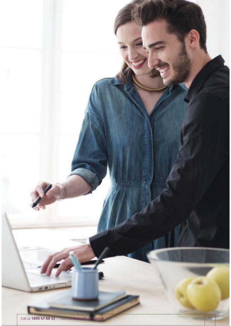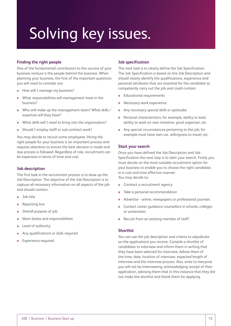## Solving key issues.

#### **Finding the right people**

One of the fundamental contributors to the success of your business venture is the people behind the business. When planning your business, the first of the important questions you will need to consider are:

- How will I manage my business?
- What responsibilities will management have in the business?
- Who will make up the management team? What skills /  $\mathbf{o}$ expertise will they have?
- What skills will I need to bring into the organisation?  $\bullet$
- Should I employ staff or sub-contract work?  $\circ$

You may decide to recruit some employees. Hiring the right people for your business is an important process and requires attention to ensure the best decision is made and due process is followed. Regardless of role, recruitment can be expensive in terms of time and cost.

#### **Job description**

The first task in the recruitment process is to draw up the Job Description. The objective of the Job Description is to capture all necessary information on all aspects of the job and should contain:

- Job title
- $\ddot{\mathbf{O}}$ Reporting line
- Overall purpose of job  $\bullet$
- Main duties and responsibilities  $\circ$
- Level of authority  $\bullet$
- Any qualifications or skills required  $\circ$
- Experience required.  $\circ$

#### **Job specification**

The next task is to clearly define the Job Specification. The Job Specification is based on the Job Description and should clearly identify the qualifications, experience and personal attributes that are essential for the candidate to competently carry out the job and could contain:

- $\circ$ Educational requirements
- Necessary work experience  $\circ$
- Any necessary special skills or aptitudes  $\bullet$
- Personal characteristics, for example, ability to lead,  $\sigma$ ability to work on own initiative, good organiser, etc.
- Any special circumstances pertaining to the job, for example must have own car, willingness to travel, etc.

#### **Start your search**

Once you have defined the Job Description and Job Specification the next step is to start your search. Firstly you must decide on the most suitable recruitment option for your business to enable you to choose the right candidate, in a cost and time effective manner. You may decide to:

- Contract a recruitment agency
- $\circ$ Take a personal recommendation
- Advertise online, newspapers or professional journals  $\circ$
- Contact career guidance counsellors in schools, colleges  $\bullet$ or universities
- Recruit from an existing member of staff.  $\bullet$

#### **Shortlist**

You can use the job description and criteria to adjudicate on the applications you receive. Compile a shortlist of candidates to interview and inform them in writing that they have been selected for interview. Advise them of the time, date, location of interview, expected length of interview and the interview process. Also, write to everyone you will not be interviewing, acknowledging receipt of their application, advising them that in this instance that they did not make the shortlist and thank them for applying.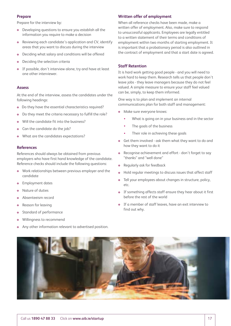#### **Prepare**

Prepare for the interview by:

- Developing questions to ensure you establish all the  $\bullet$ information you require to make a decision
- Reviewing each candidate's application and CV, identify  $\bullet$ areas that you want to discuss during the interview
- Deciding what salary and conditions will be offered
- Deciding the selection criteria  $\bullet$
- If possible, don't interview alone, try and have at least  $\circ$ one other interviewer.

#### **Assess**

At the end of the interview, assess the candidates under the following headings:

- Do they have the essential characteristics required?
- $\circ$ Do they meet the criteria necessary to fulfill the role?
- Will the candidate fit into the business?  $\circ$
- Can the candidate do the job?  $\sim$
- What are the candidates expectations?  $\circ$

#### **References**

References should always be obtained from previous employers who have first hand knowledge of the candidate. Reference checks should include the following questions:

- Work relationships between previous employer and the candidate
- Employment dates  $\bullet$
- Nature of duties  $\circ$
- $\circ$ Absenteeism record
- Reason for leaving  $\circ$
- Standard of performance  $\circ$
- Willingness to recommend  $\circ$
- Any other information relevant to advertised position.

#### **Written offer of employment**

When all reference checks have been made, make a written offer of employment. Also, make sure to respond to unsuccessful applicants. Employees are legally entitled to a written statement of their terms and conditions of employment within two months of starting employment. It is important that a probationary period is also outlined in the contract of employment and that a start date is agreed.

#### **Staff Retention**

It is hard work getting good people - and you will need to work hard to keep them. Research tells us that people don't leave jobs - they leave managers because they do not feel valued. A simple measure to ensure your staff feel valued can be, simply, to keep them informed.

One way is to plan and implement an internal communications plan for both staff and management:

- o Make sure everyone knows:
	- What is going on in your business and in the sector
	- The goals of the business
	- Their role in achieving these goals
- Get them involved ask them what they want to do and how they want to do it
- Recognise achievement and effort don't forget to say "thanks" and "well done"
- Regularly ask for feedback
- Hold regular meetings to discuss issues that affect staff  $\bullet$
- Tell your employees about changes in structure, policy,  $\Omega$ etc.
- If something affects staff ensure they hear about it first before the rest of the world
- If a member of staff leaves, have an exit interview to find out why.

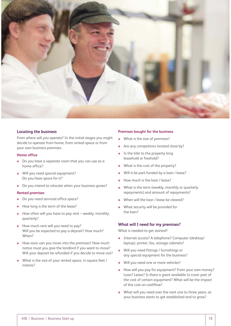

#### **Locating the business**

From where will you operate? In the initial stages you might decide to operate from home, from rented space or from your own business premises.

#### **Home office**

- Do you have a separate room that you can use as a home office?
- Will you need special equipment? Do you have space for it?
- Do you intend to relocate when your business grows?

#### **Rented premises**

- Do you need serviced office space?  $\bullet$
- How long is the term of the lease?  $\circ$
- How often will you have to pay rent weekly, monthly,  $\Omega$ quarterly?
- How much rent will you need to pay? Will you be expected to pay a deposit? How much? When?
- How soon can you move into the premises? How much notice must you give the landlord if you want to move? Will your deposit be refunded if you decide to move out?
- What is the size of your rented space, in square feet / metres?

#### **Premises bought for the business**

- What is the size of premises?  $\bullet$
- Are any competitors located close by?
- Is the title to the property long leasehold or freehold?
- What is the cost of the property?
- Will it be part-funded by a loan / lease?  $\ddot{\mathbf{o}}$
- How much is the loan / lease?  $\bullet$
- What is the term (weekly, monthly or quarterly  $\overline{a}$ repayments) and amount of repayments?
- When will the loan / lease be cleared?
- What security will be provided for the loan?

#### **What will I need for my premises?**

What is needed to get started?

- Internet access? A telephone? Computer (desktop/ laptop), printer, fax, storage cabinets?
- Will you need fittings / furnishings or any special equipment for the business?
- o Will you need one or more vehicles?
- How will you pay for equipment? From your own money? Loan? Lease? Is there a grant available to cover part of the cost of certain equipment? What will be the impact of the cost on cashflow?
- What will you need over the next one to three years, as your business starts to get established and to grow?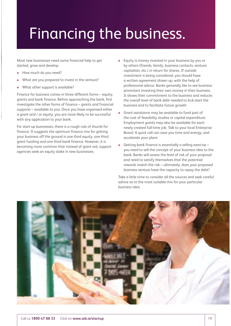## Financing the business.

Most new businesses need some financial help to get started, grow and develop.

- $\bullet$ How much do you need?
- What are you prepared to invest in the venture?  $\circ$
- What other support is available?  $\alpha$

Finance for business comes in three different forms – equity, grants and bank finance. Before approaching the bank, first investigate the other forms of finance – grants and financial supports – available to you. Once you have organised either a grant and / or equity, you are more likely to be successful with any application to your bank.

For start-up businesses, there is a rough rule of thumb for finance. It suggests the optimum finance mix for getting your business off the ground is one third equity, one third grant funding and one third bank finance. However, it is becoming more common that instead of grant aid, support agencies seek an equity stake in new businesses.

- Equity is money invested in your business by you or  $\sigma$ by others (friends, family, business contacts, venture capitalists, etc.) in return for shares. If outside investment is being considered, you should have a written agreement drawn up, with the help of professional advice. Banks generally like to see business promoters investing their own money in their business. It shows their commitment to the business and reduces the overall level of bank debt needed to kick-start the business and to facilitate future growth
- Grant assistance may be available to fund part of  $\ddot{\mathbf{o}}$ the cost of feasibility studies or capital expenditure. Employment grants may also be available for each newly created full-time job. Talk to your local Enterprise Board. A quick call can save you time and energy, and accelerate your plans
- Getting bank finance is essentially a selling exercise  $\bullet$ you need to sell the concept of your business idea to the bank. Banks will assess the level of risk of your proposal and need to satisfy themselves that the potential rewards match the risk – ultimately, does your proposed business venture have the capacity to repay the debt?

Take a little time to consider all the sources and seek careful advice as to the most suitable mix for your particular business idea.

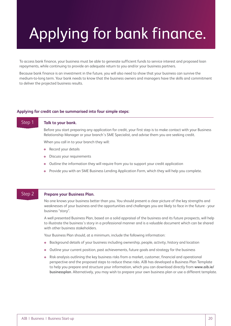# Applying for bank finance.

To access bank finance, your business must be able to generate sufficient funds to service interest and proposed loan repayments, while continuing to provide an adequate return to you and/or your business partners.

Because bank finance is an investment in the future, you will also need to show that your business can survive the medium-to-long term. Your bank needs to know that the business owners and managers have the skills and commitment to deliver the projected business results.

#### **Applying for credit can be summarised into four simple steps:**

Step 1

#### **Talk to your bank.**

Before you start preparing any application for credit, your first step is to make contact with your Business Relationship Manager or your branch's SME Specialist, and advise them you are seeking credit.

When you call in to your branch they will:

- **o** Record your details
- **o** Discuss your requirements
- Outline the information they will require from you to support your credit application
- Provide you with an SME Business Lending Application Form, which they will help you complete.

#### **Prepare your Business Plan.** Step 2

No one knows your business better than you. You should present a clear picture of the key strengths and weaknesses of your business and the opportunities and challenges you are likely to face in the future - your business "story".

A well presented Business Plan, based on a solid appraisal of the business and its future prospects, will help to illustrate the business's story in a professional manner and is a valuable document which can be shared with other business stakeholders.

Your Business Plan should, at a minimum, include the following information:

- Background details of your business including ownership, people, activity, history and location
- Outline your current position, past achievements, future goals and strategy for the business
- Risk analysis outlining the key business risks from a market, customer, financial and operational perspective and the proposed steps to reduce these risks. AIB has developed a Business Plan Template to help you prepare and structure your information, which you can download directly from **www.aib.ie/ businessplan**. Alternatively, you may wish to prepare your own business plan or use a different template.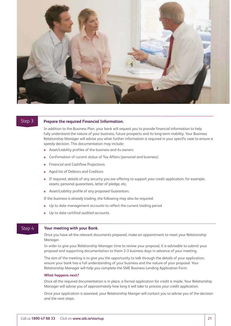

#### **Prepare the required Financial Information.** Step 3

In addition to the Business Plan, your bank will request you to provide financial information to help fully understand the nature of your business, future prospects and its long-term viability. Your Business Relationship Manager will advise you what further information is required in your specific case to ensure a speedy decision. This documentation may include:

- Asset/Liability profiles of the business and its owners
- Confirmation of current status of Tax Affairs (personal and business)
- Financial and Cashflow Projections
- Aged list of Debtors and Creditors
- If required, details of any security you are offering to support your credit application, for example, assets, personal guarantees, letter of pledge, etc.
- Asset/Liability profile of any proposed Guarantors.

If the business is already trading, the following may also be required:

- Up to date management accounts to reflect the current trading period
- Up to date certified audited accounts.

#### **Your meeting with your Bank.** Step 4

Once you have all the relevant documents prepared, make an appointment to meet your Relationship Manager.

In order to give your Relationship Manager time to review your proposal, it is advisable to submit your proposal and supporting documentation to them 2-3 business days in advance of your meeting.

The aim of the meeting is to give you the opportunity to talk through the details of your application, ensure your bank has a full understanding of your business and the nature of your proposal. Your Relationship Manager will help you complete the SME Business Lending Application Form.

#### **What happens next?**

Once all the required documentation is in place, a formal application for credit is made. Your Relationship Manager will advise you of approximately how long it will take to process your credit application.

Once your application is assessed, your Relationship Manger will contact you to advise you of the decision and the next steps.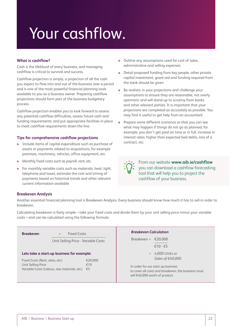## Your cashflow.

#### **What is cashflow?**

Cash is the lifeblood of every business, and managing cashflow is critical to survival and success.

Cashflow projection is simply, a projection of all the cash you expect to flow into and out of the business over a period and is one of the most powerful financial planning tools available to you as a business owner. Preparing cashflow projections should form part of the business budgetary process.

Cashflow projection enables you to look forward to assess any potential cashflow difficulties, assess future cash and funding requirements, and put appropriate facilities in place to meet cashflow requirements down the line.

#### **Tips for comprehensive cashflow projections**

- Include items of capital expenditure such as purchase of assets or payments related to acquisitions, for example premises, machinery, vehicles, office equipment, etc.
- Monthly fixed costs such as payroll, rent, etc.
- For monthly variable costs such as materials, heat, light,  $\bullet$ telephone and taxes, estimate the cost and timing of payments based on historical trends and other relevant current information available
- Outline any assumptions used for cost of sales, administrative and selling expenses
- Detail proposed funding from key people, other private capital investment, grant-aid and funding required from the bank should be given
- Be realistic in your projections and challenge your assumptions to ensure they are reasonable, not overly optimistic and will stand up to scrutiny from banks and other relevant parties. It is important that your projections are completed as accurately as possible. You may find it useful to get help from an accountant
- Prepare some different scenarios so that you can see  $\mathbf{a}$ what may happen if things do not go as planned, for example, you don't get paid on time or in full, increase in interest rates, higher than expected bad debts, loss of a contract, etc.

From our website **www.aib.ie/cashflow** you can download a cashflow forecasting tool that will help you to project the cashflow of your business.

#### **Breakeven Analysis**

Another essential financial planning tool is Breakeven Analysis. Every business should know how much it has to sell in order to breakeven.

Calculating breakeven is fairly simple – take your fixed costs and divide them by your unit selling price minus your variable costs – and can be calculated using the following formula:

| <b>Breakeven</b>                                                                                                                                     | <b>Fixed Costs</b><br>$=$<br>Unit Selling Price - Variable Costs |                | <b>Breakeven Calculation</b><br>Breakeven =<br>€20,000 |                                                                                                                                     |
|------------------------------------------------------------------------------------------------------------------------------------------------------|------------------------------------------------------------------|----------------|--------------------------------------------------------|-------------------------------------------------------------------------------------------------------------------------------------|
|                                                                                                                                                      |                                                                  |                |                                                        | €10 - €5                                                                                                                            |
| Lets take a start-up business for example:<br>Fixed Costs (Rent, rates, etc)<br>Unit Selling Price<br>Variable Costs (Labour, raw materials, etc) €5 |                                                                  | €20,000<br>€10 | sell €40,000 worth of product.                         | $=$ 4,000 Units or<br>Sales of €40,000<br>In order for our start-up business<br>to cover all costs and breakeven, the business must |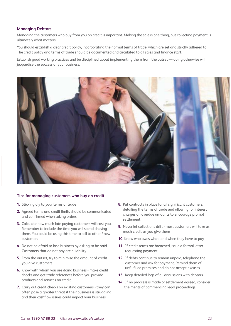#### **Managing Debtors**

Managing the customers who buy from you on credit is important. Making the sale is one thing, but collecting payment is ultimately what matters.

You should establish a clear credit policy, incorporating the normal terms of trade, which are set and strictly adhered to. The credit policy and terms of trade should be documented and circulated to all sales and finance staff.

Establish good working practices and be disciplined about implementing them from the outset — doing otherwise will jeopardise the success of your business.



#### **Tips for managing customers who buy on credit**

- **1.** Stick rigidly to your terms of trade
- **2.** Agreed terms and credit limits should be communicated and confirmed when taking orders
- **3.** Calculate how much late paying customers will cost you. Remember to include the time you will spend chasing them. You could be using this time to sell to other / new customers
- **4.** Do not be afraid to lose business by asking to be paid. Customers that do not pay are a liability
- **5.** From the outset, try to minimise the amount of credit you give customers
- **6.** Know with whom you are doing business make credit checks and get trade references before you provide products and services on credit
- **7.** Carry out credit checks on existing customers they can often pose a greater threat if their business is struggling and their cashflow issues could impact your business
- **8.** Put contracts in place for all significant customers, detailing the terms of trade and allowing for interest charges on overdue amounts to encourage prompt settlement
- **9.** Never let collections drift most customers will take as much credit as you give them
- **10.** Know who owes what, and when they have to pay
- **11.** If credit terms are breached, issue a formal letter requesting payment
- **12.** If debts continue to remain unpaid, telephone the customer and ask for payment. Remind them of unfulfilled promises and do not accept excuses
- **13.** Keep detailed logs of all discussions with debtors
- **14.** If no progress is made or settlement agreed, consider the merits of commencing legal proceedings.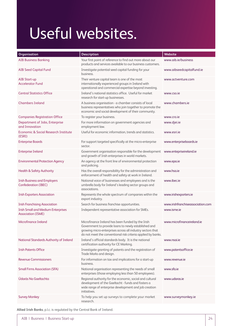### Useful websites.

| Organisation                                                           | <b>Description</b>                                                                                                                                                                                                                      | <b>Website</b>                    |
|------------------------------------------------------------------------|-----------------------------------------------------------------------------------------------------------------------------------------------------------------------------------------------------------------------------------------|-----------------------------------|
| <b>AIB Business Banking</b>                                            | Your first point of reference to find out more about our                                                                                                                                                                                | www.aib.ie/business               |
|                                                                        | products and services available to our business customers.                                                                                                                                                                              |                                   |
| <b>AIB Seed Capital Fund</b>                                           | Investigate potential seed capital funding for your<br>business.                                                                                                                                                                        | www.aibseedcapitalfund.ie         |
| <b>AIB Start-up</b><br><b>Accelerator Fund</b>                         | Their venture capital team is one of the most<br>internationally experienced groups in Ireland with<br>operational and commercial expertise beyond investing.                                                                           | www.actventure.com                |
| <b>Central Statistics Office</b>                                       | Ireland's national statistics office. Useful for market<br>research for start-up businesses.                                                                                                                                            | www.cso.ie                        |
| <b>Chambers Ireland</b>                                                | A business organisation - a chamber consists of local<br>business representatives who join together to promote the<br>economic and social development of their community.                                                               | www.chambers.ie                   |
| <b>Companies Registration Office</b>                                   | To register your business.                                                                                                                                                                                                              | www.cro.ie                        |
| Department of Jobs, Enterprise<br>and Innovation                       | For more information on government agencies and<br>employment law.                                                                                                                                                                      | www.djei.ie                       |
| <b>Economic &amp; Social Research Institute</b><br>(ESRI)              | Useful for economic information, trends and statistics.                                                                                                                                                                                 | www.esri.je                       |
| <b>Enterprise Boards</b>                                               | For support targeted specifically at the micro-enterprise<br>sector.                                                                                                                                                                    | www.enterpriseboards.ie           |
| <b>Enterprise Ireland</b>                                              | Government organisation responsible for the development<br>and growth of Irish enterprises in world markets.                                                                                                                            | www.entepriseireland.ie           |
| <b>Environmental Protection Agency</b>                                 | An agency at the front line of environmental protection<br>and policing.                                                                                                                                                                | www.epa.ie                        |
| Health & Safety Authority                                              | Has the overall responsibility for the administration and<br>enforcement of health and safety at work in Ireland.                                                                                                                       | www.hsa.ie                        |
| <b>Irish Business and Employers</b><br><b>Confederation (IBEC)</b>     | National voice of businesses and employees and is the<br>umbrella body for Ireland's leading sector groups and<br>associations.                                                                                                         | www.ibec.ie                       |
| <b>Irish Exporters Association</b>                                     | Represents the whole spectrum of companies within the<br>export industry.                                                                                                                                                               | www.irishexporters.ie             |
| <b>Irish Franchising Association</b>                                   | Search for business franchise opportunities.                                                                                                                                                                                            | www.irishfranchiseassociation.com |
| <b>Irish Small and Medium Enterprises</b><br><b>Association (ISME)</b> | Independent representative association for SMEs.                                                                                                                                                                                        | www.isme.ie                       |
| Microfinance Ireland                                                   | Microfinance Ireland has been funded by the Irish<br>Government to provide loans to newly established and<br>growing micro-enterprises across all industry sectors that<br>do not meet the conventional risk criteria applied by banks. | www.microfinanceireland.je        |
| National Standards Authority of Ireland                                | Ireland's official standards body. It is the national<br>certification authority for CE Marking.                                                                                                                                        | www.nsai.je                       |
| <b>Irish Patents Office</b>                                            | Investigate granting of patents and the registration of<br>Trade Marks and design.                                                                                                                                                      | www.patentsoffice.ie              |
| <b>Revenue Commissioners</b>                                           | For information on tax and implications for a start-up<br>business.                                                                                                                                                                     | www.revenue.je                    |
| <b>Small Firms Association (SFA)</b>                                   | National organisation representing the needs of small<br>enterprises (those employing less than 50 employees).                                                                                                                          | www.sfa.ie                        |
| Údarás Na Gaeltachta                                                   | Regional authority for the economic, social and cultural<br>development of the Gaeltacht - funds and fosters a<br>wide range of enterprise development and job creation<br>initiatives.                                                 | www.udaras.ie                     |
| <b>Survey Monkey</b>                                                   | To help you set up surveys to complete your market<br>research.                                                                                                                                                                         | www.surveymonkey.ie               |

**Allied Irish Banks**, p.l.c. is regulated by the Central Bank of Ireland.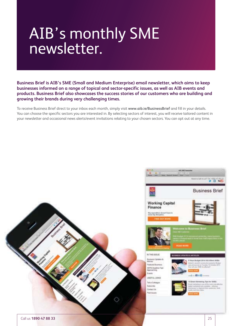### AIB's monthly SME newsletter.

#### **Business Brief is AIB's SME (Small and Medium Enterprise) email newsletter, which aims to keep businesses informed on a range of topical and sector-specific issues, as well as AIB events and products. Business Brief also showcases the success stories of our customers who are building and growing their brands during very challenging times.**

To receive Business Brief direct to your inbox each month, simply visit **www.aib.ie/BusinessBrief** and fill in your details. You can choose the specific sectors you are interested in. By selecting sectors of interest, you will receive tailored content in your newsletter and occasional news alerts/event invitations relating to your chosen sectors. You can opt out at any time.